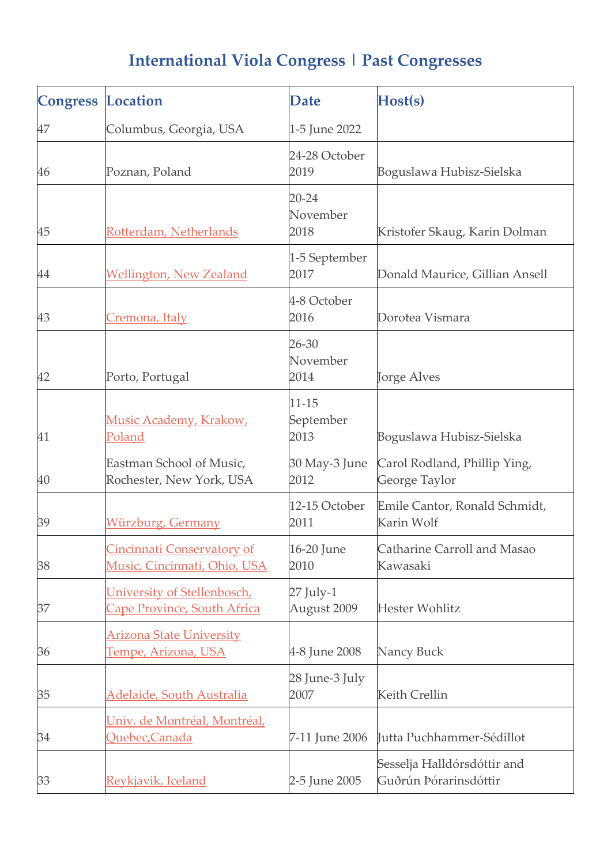## **International Viola Congress | Past Congresses**

| <b>Congress Location</b> |                                                                   | <b>Date</b>                    | Host(s)                                              |
|--------------------------|-------------------------------------------------------------------|--------------------------------|------------------------------------------------------|
| 47                       | Columbus, Georgia, USA                                            | 1-5 June 2022                  |                                                      |
| 46                       | Poznan, Poland                                                    | 24-28 October<br>2019          | Boguslawa Hubisz-Sielska                             |
| 45                       | Rotterdam, Netherlands                                            | $20 - 24$<br>November<br>2018  | Kristofer Skaug, Karin Dolman                        |
| 44                       | <b>Wellington, New Zealand</b>                                    | 1-5 September<br>2017          | Donald Maurice, Gillian Ansell                       |
| 43                       | <u> Cremona, Italy</u>                                            | 4-8 October<br>2016            | Dorotea Vismara                                      |
| 42                       | Porto, Portugal                                                   | 26-30<br>November<br>2014      | <b>Jorge Alves</b>                                   |
| 41                       | Music Academy, Krakow,<br>Poland                                  | $11 - 15$<br>September<br>2013 | Boguslawa Hubisz-Sielska                             |
| 40                       | Eastman School of Music,<br>Rochester, New York, USA              | 30 May-3 June<br>2012          | Carol Rodland, Phillip Ying,<br>George Taylor        |
| 39                       | Würzburg, Germany                                                 | 12-15 October<br>2011          | Emile Cantor, Ronald Schmidt,<br>Karin Wolf          |
| 38                       | <u>Cincinnati Conservatory of</u><br>Music, Cincinnati, Ohio, USA | 16-20 June<br>2010             | Catharine Carroll and Masao<br>Kawasaki              |
| 37                       | University of Stellenbosch,<br>Cape Province, South Africa        | 27 July-1<br>August 2009       | <b>Hester Wohlitz</b>                                |
| 36                       | <u> Arizona State University</u><br><u>Tempe, Arizona, USA</u>    | 4-8 June 2008                  | Nancy Buck                                           |
| 35                       | Adelaide, South Australia                                         | 28 June-3 July<br>2007         | Keith Crellin                                        |
| 34                       | <u> Univ. de Montréal, Montréal,</u><br>Quebec, Canada            | 7-11 June 2006                 | Jutta Puchhammer-Sédillot                            |
| 33                       | <u>Reykjavik, Iceland</u>                                         | 2-5 June 2005                  | Sesselja Halldórsdóttir and<br>Guðrún Þórarinsdóttir |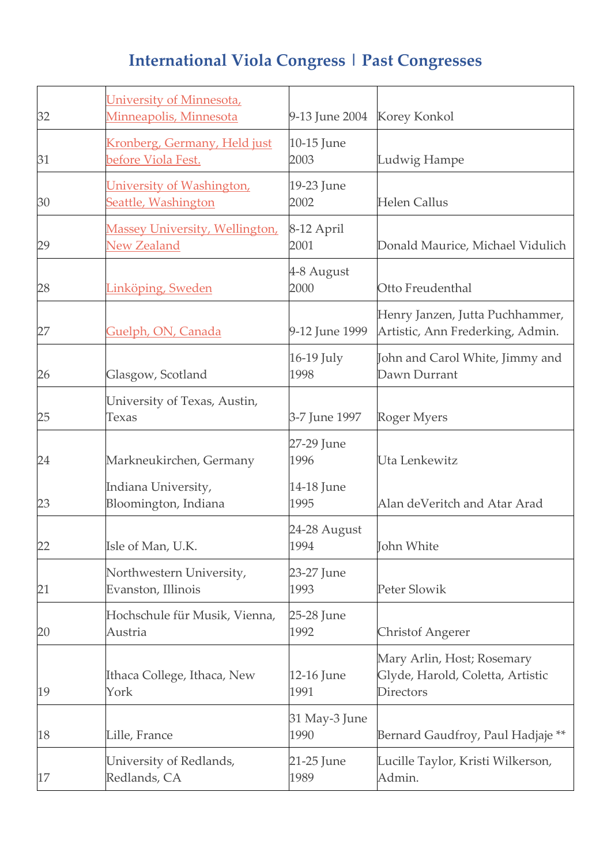## **International Viola Congress | Past Congresses**

| 32 | <u>University of Minnesota,</u><br>Minneapolis, Minnesota | 9-13 June 2004 Korey Konkol |                                                                                    |
|----|-----------------------------------------------------------|-----------------------------|------------------------------------------------------------------------------------|
| 31 | <u>Kronberg, Germany, Held just</u><br>before Viola Fest. | 10-15 June<br>2003          | Ludwig Hampe                                                                       |
| 30 | University of Washington,<br>Seattle, Washington          | 19-23 June<br>2002          | <b>Helen Callus</b>                                                                |
| 29 | <b>Massey University, Wellington,</b><br>New Zealand      | 8-12 April<br>2001          | Donald Maurice, Michael Vidulich                                                   |
| 28 | Linköping, Sweden                                         | 4-8 August<br>2000          | Otto Freudenthal                                                                   |
| 27 | Guelph, ON, Canada                                        | 9-12 June 1999              | Henry Janzen, Jutta Puchhammer,<br>Artistic, Ann Frederking, Admin.                |
| 26 | Glasgow, Scotland                                         | 16-19 July<br>1998          | John and Carol White, Jimmy and<br>Dawn Durrant                                    |
| 25 | University of Texas, Austin,<br>Texas                     | 3-7 June 1997               | Roger Myers                                                                        |
| 24 | Markneukirchen, Germany                                   | 27-29 June<br>1996          | Uta Lenkewitz                                                                      |
| 23 | Indiana University,<br>Bloomington, Indiana               | 14-18 June<br>1995          | Alan deVeritch and Atar Arad                                                       |
| 22 | Isle of Man, U.K.                                         | 24-28 August<br>1994        | John White                                                                         |
| 21 | Northwestern University,<br>Evanston, Illinois            | 23-27 June<br>1993          | <b>Peter Slowik</b>                                                                |
| 20 | Hochschule für Musik, Vienna,<br>Austria                  | 25-28 June<br>1992          | <b>Christof Angerer</b>                                                            |
| 19 | Ithaca College, Ithaca, New<br>York                       | 12-16 June<br>1991          | Mary Arlin, Host; Rosemary<br>Glyde, Harold, Coletta, Artistic<br><b>Directors</b> |
| 18 | Lille, France                                             | 31 May-3 June<br>1990       | Bernard Gaudfroy, Paul Hadjaje **                                                  |
| 17 | University of Redlands,<br>Redlands, CA                   | 21-25 June<br>1989          | Lucille Taylor, Kristi Wilkerson,<br>Admin.                                        |